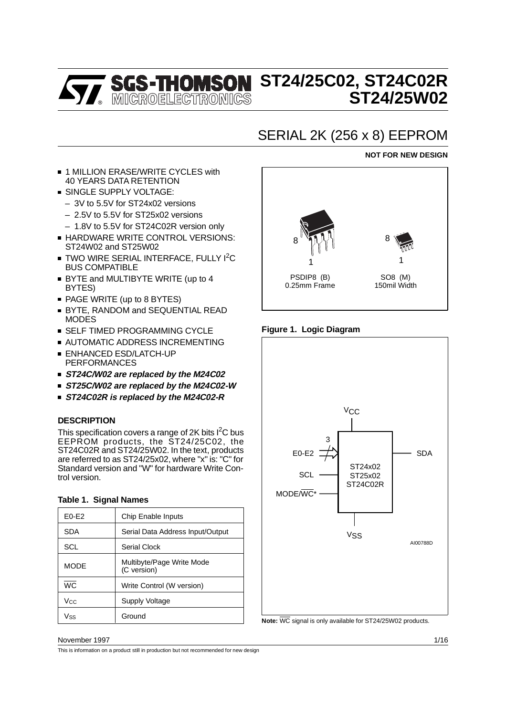# **ST24/25C02, ST24C02R ST24/25W02**

# SERIAL 2K (256 x 8) EEPROM

# **NOT FOR NEW DESIGN**

- 1 MILLION ERASE/WRITE CYCLES with 40 YEARS DATA RETENTION
- **SINGLE SUPPLY VOLTAGE:** 
	- 3V to 5.5V for ST24x02 versions
	- 2.5V to 5.5V for ST25x02 versions
	- 1.8V to 5.5V for ST24C02R version only
- **HARDWARE WRITE CONTROL VERSIONS:** ST24W02 and ST25W02
- TWO WIRE SERIAL INTERFACE, FULLY I<sup>2</sup>C BUS COMPATIBLE
- BYTE and MULTIBYTE WRITE (up to 4 BYTES)
- PAGE WRITE (up to 8 BYTES)
- BYTE, RANDOM and SEQUENTIAL READ MODES
- **SELF TIMED PROGRAMMING CYCLE**
- **AUTOMATIC ADDRESS INCREMENTING**
- **ENHANCED ESD/LATCH-UP** PERFORMANCES
- **ST24C/W02 are replaced by the M24C02**
- **ST25C/W02 are replaced by the M24C02-W**
- **ST24C02R is replaced by the M24C02-R**

# **DESCRIPTION**

This specification covers a range of 2K bits  $1^2C$  bus EEPROM products, the ST24/25C02, the ST24C02R and ST24/25W02. In the text, products are referred to as ST24/25x02, where "x" is: "C" for Standard version and "W" for hardware Write Control version.

| Table T. Olynal Names |                                          |
|-----------------------|------------------------------------------|
| $E0-E2$               | Chip Enable Inputs                       |
| <b>SDA</b>            | Serial Data Address Input/Output         |
| <b>SCL</b>            | Serial Clock                             |
| <b>MODE</b>           | Multibyte/Page Write Mode<br>(C version) |
| <b>WC</b>             | Write Control (W version)                |
| Vcc.                  | Supply Voltage                           |
| Vss                   | Ground                                   |

# **Table 1. Signal Names**



# **Figure 1. Logic Diagram**



**Note:** WC signal is only available for ST24/25W02 products.

#### November 1997 1/16

This is information on a product still in production but not recommended for new design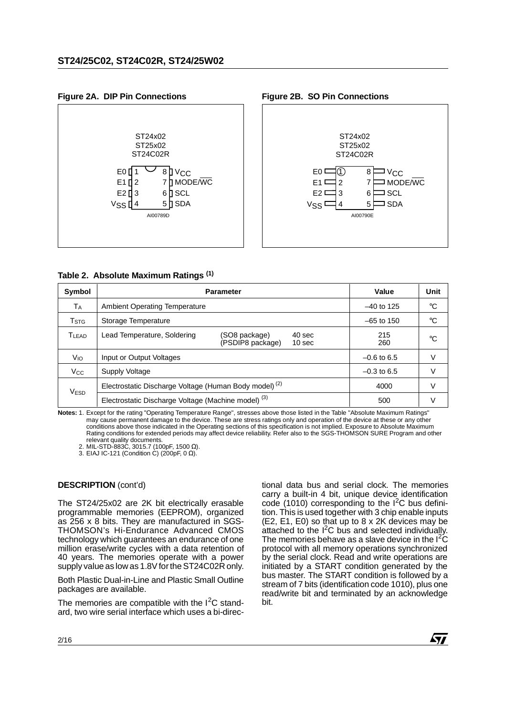

| Table 2. Absolute Maximum Ratings (1) |                                                                   |                                   |                             |               |             |  |  |  |
|---------------------------------------|-------------------------------------------------------------------|-----------------------------------|-----------------------------|---------------|-------------|--|--|--|
| Symbol                                |                                                                   | <b>Parameter</b>                  |                             | Value         | Unit        |  |  |  |
| Tд                                    | <b>Ambient Operating Temperature</b>                              |                                   |                             | $-40$ to 125  | $^{\circ}C$ |  |  |  |
| T <sub>STG</sub>                      | Storage Temperature                                               |                                   |                             | $-65$ to 150  | $^{\circ}C$ |  |  |  |
| T <sub>LEAD</sub>                     | Lead Temperature, Soldering                                       | (SO8 package)<br>(PSDIP8 package) | 40 sec<br>10 <sub>sec</sub> | 215<br>260    | $^{\circ}C$ |  |  |  |
| V <sub>IO</sub>                       | Input or Output Voltages                                          |                                   |                             | $-0.6$ to 6.5 | V           |  |  |  |
| <b>V<sub>cc</sub></b>                 | Supply Voltage                                                    |                                   |                             | $-0.3$ to 6.5 | V           |  |  |  |
| V <sub>ESD</sub>                      | Electrostatic Discharge Voltage (Human Body model) <sup>(2)</sup> |                                   |                             | 4000          | V           |  |  |  |
|                                       | Electrostatic Discharge Voltage (Machine model) <sup>(3)</sup>    |                                   |                             | 500           | V           |  |  |  |

**Notes:** 1. Except for the rating "Operating Temperature Range", stresses above those listed in the Table "Absolute Maximum Ratings" may cause permanent damage to the device. These are stress ratings only and operation of the device at these or any other conditions above those indicated in the Operating sections of this specification is not implied. Exposure to Absolute Maximum Rating conditions for extended periods may affect device reliability. Refer also to the SGS-THOMSON SURE Program and other relevant quality documents. 2. MIL-STD-883C, 3015.7 (100pF, 1500 Ω).

3. EIAJ IC-121 (Condition C) (200pF, 0  $\Omega$ ).

# **DESCRIPTION** (cont'd)

The ST24/25x02 are 2K bit electrically erasable programmable memories (EEPROM), organized as 256 x 8 bits. They are manufactured in SGS-THOMSON's Hi-Endurance Advanced CMOS technology which guarantees an endurance of one million erase/write cycles with a data retention of 40 years. The memories operate with a power supply value as low as 1.8V for the ST24C02R only.

Both Plastic Dual-in-Line and Plastic Small Outline packages are available.

The memories are compatible with the  $1^2C$  standard, two wire serial interface which uses a bi-directional data bus and serial clock. The memories carry a built-in 4 bit, unique device identification code (1010) corresponding to the  $I^2C$  bus definition. This is used together with 3 chip enable inputs (E2, E1, E0) so that up to 8 x 2K devices may be attached to the  $I^2C$  bus and selected individually. The memories behave as a slave device in the  $I^2\tilde{C}$ protocol with all memory operations synchronized by the serial clock. Read and write operations are initiated by a START condition generated by the bus master. The START condition is followed by a stream of 7 bits (identification code 1010), plus one read/write bit and terminated by an acknowledge bit.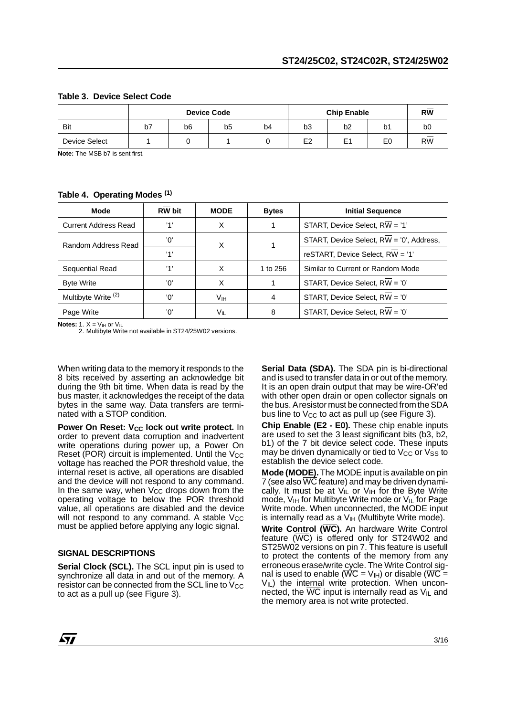|               | <b>Chip Enable</b><br><b>Device Code</b> |                |                |    |                | <b>RW</b>      |    |           |
|---------------|------------------------------------------|----------------|----------------|----|----------------|----------------|----|-----------|
| Bit           | b7                                       | b <sub>6</sub> | b <sub>5</sub> | b4 | b <sub>3</sub> | b <sub>2</sub> | b1 | b0        |
| Device Select |                                          |                |                |    | E <sub>2</sub> | E <sub>1</sub> | E0 | <b>RW</b> |

#### **Table 3. Device Select Code**

**Note:** The MSB b7 is sent first.

# **Table 4. Operating Modes (1)**

| Mode                           | <b>RW</b> bit | <b>MODE</b>     | <b>Initial Sequence</b><br><b>Bytes</b>       |                                          |
|--------------------------------|---------------|-----------------|-----------------------------------------------|------------------------------------------|
| <b>Current Address Read</b>    | '1'           | X               | START, Device Select, $R\overline{W}$ = '1'   |                                          |
| Random Address Read            | 'n'           | X               |                                               | START, Device Select, RW = '0', Address, |
|                                | '1'           |                 | reSTART, Device Select, $R\overline{W}$ = '1' |                                          |
| Sequential Read                | '1'           | X               | 1 to 256                                      | Similar to Current or Random Mode        |
| <b>Byte Write</b>              | 'በ'           | x               | START, Device Select, RW = '0'                |                                          |
| Multibyte Write <sup>(2)</sup> | 'N'           | V <sub>IH</sub> | 4                                             | START, Device Select, RW = '0'           |
| Page Write                     | 'n'           | Vĩl             | 8                                             | START, Device Select, RW = '0'           |

**Notes:**  $1. X = V_{\text{III}}$  or  $V_{\text{II}}$ 

2. Multibyte Write not available in ST24/25W02 versions.

When writing data to the memory it responds to the 8 bits received by asserting an acknowledge bit during the 9th bit time. When data is read by the bus master, it acknowledges the receipt of the data bytes in the same way. Data transfers are terminated with a STOP condition.

**Power On Reset: V<sub>CC</sub> lock out write protect.** In order to prevent data corruption and inadvertent write operations during power up, a Power On Reset (POR) circuit is implemented. Until the  $V_{CC}$ voltage has reached the POR threshold value, the internal reset is active, all operations are disabled and the device will not respond to any command. In the same way, when  $V_{CC}$  drops down from the operating voltage to below the POR threshold value, all operations are disabled and the device will not respond to any command. A stable  $V_{CC}$ must be applied before applying any logic signal.

# **SIGNAL DESCRIPTIONS**

**Serial Clock (SCL).** The SCL input pin is used to synchronize all data in and out of the memory. A resistor can be connected from the SCL line to  $V_{CC}$ to act as a pull up (see Figure 3).

**Serial Data (SDA).** The SDA pin is bi-directional and is used to transfer data in or out of the memory. It is an open drain output that may be wire-OR'ed with other open drain or open collector signals on the bus. A resistor must be connected from the SDA bus line to  $V_{CC}$  to act as pull up (see Figure 3).

**Chip Enable (E2 - E0).** These chip enable inputs are used to set the 3 least significant bits (b3, b2, b1) of the 7 bit device select code. These inputs may be driven dynamically or tied to  $V_{CC}$  or  $V_{SS}$  to establish the device select code.

**Mode (MODE).** The MODE input is available on pin 7 (see also WC feature) and may be driven dynamically. It must be at  $V_{IL}$  or  $V_{IH}$  for the Byte Write mode, V<sub>IH</sub> for Multibyte Write mode or V<sub>IL</sub> for Page Write mode. When unconnected, the MODE input  $i$ s internally read as a  $V<sub>III</sub>$  (Multibyte Write mode).

**Write Control (WC).** An hardware Write Control feature  $(\overline{WC})$  is offered only for ST24W02 and ST25W02 versions on pin 7. This feature is usefull to protect the contents of the memory from any erroneous erase/write cycle. The Write Control signal is used to enable ( $\overline{WC}$  =  $V_{\text{H}}$ ) or disable ( $\overline{WC}$  =  $V_{IL}$ ) the internal write protection. When unconnected, the  $\overline{WC}$  input is internally read as  $V_{\parallel}$  and the memory area is not write protected.

*ky*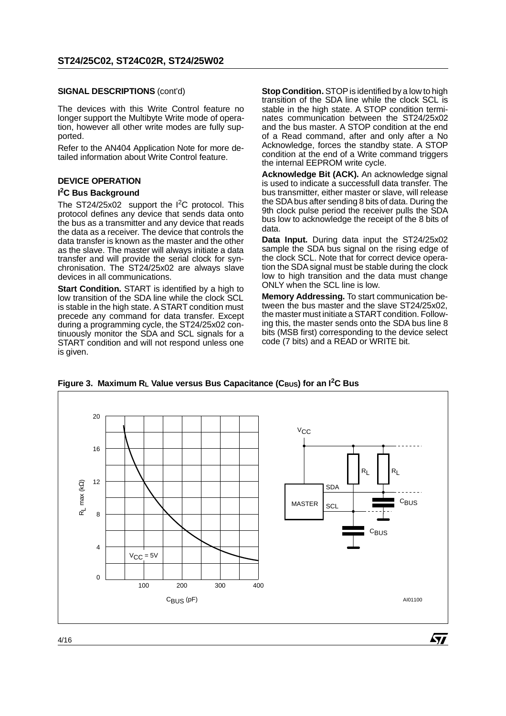#### **SIGNAL DESCRIPTIONS** (cont'd)

The devices with this Write Control feature no longer support the Multibyte Write mode of operation, however all other write modes are fully supported.

Refer to the AN404 Application Note for more detailed information about Write Control feature.

# **DEVICE OPERATION I 2C Bus Background**

The ST24/25x02 support the  $I^2C$  protocol. This protocol defines any device that sends data onto the bus as a transmitter and any device that reads the data as a receiver. The device that controls the data transfer is known as the master and the other as the slave. The master will always initiate a data transfer and will provide the serial clock for synchronisation. The ST24/25x02 are always slave devices in all communications.

**Start Condition.** START is identified by a high to low transition of the SDA line while the clock SCL is stable in the high state. A START condition must precede any command for data transfer. Except during a programming cycle, the ST24/25x02 continuously monitor the SDA and SCL signals for a START condition and will not respond unless one is given.

**Stop Condition.** STOP is identified by a low to high transition of the SDA line while the clock SCL is stable in the high state. A STOP condition terminates communication between the ST24/25x02 and the bus master. A STOP condition at the end of a Read command, after and only after a No Acknowledge, forces the standby state. A STOP condition at the end of a Write command triggers the internal EEPROM write cycle.

**Acknowledge Bit (ACK).** An acknowledge signal is used to indicate a successfull data transfer. The bus transmitter, either master or slave, will release the SDA bus after sending 8 bits of data. During the 9th clock pulse period the receiver pulls the SDA bus low to acknowledge the receipt of the 8 bits of data.

**Data Input.** During data input the ST24/25x02 sample the SDA bus signal on the rising edge of the clock SCL. Note that for correct device operation the SDA signal must be stable during the clock low to high transition and the data must change ONLY when the SCL line is low.

**Memory Addressing.** To start communication between the bus master and the slave ST24/25x02, the master must initiate a START condition. Following this, the master sends onto the SDA bus line 8 bits (MSB first) corresponding to the device select code (7 bits) and a READ or WRITE bit.



**Figure 3. Maximum RL Value versus Bus Capacitance (CBUS) for an I2C Bus**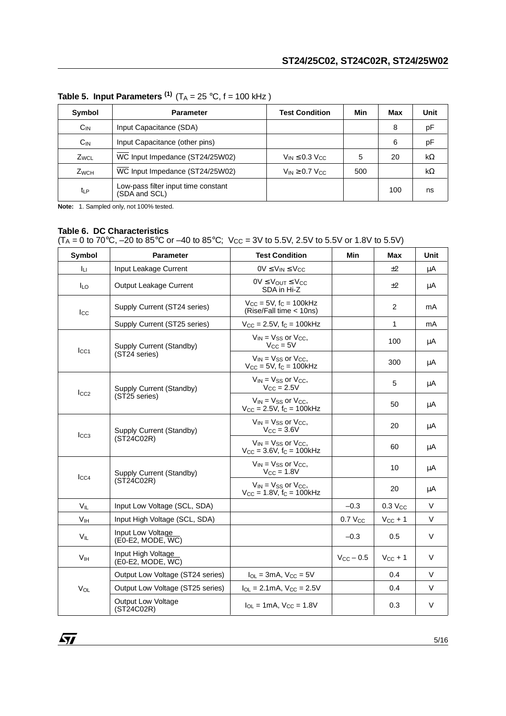| Symbol           | <b>Parameter</b>                                     | <b>Test Condition</b>             | Min | Max | Unit |
|------------------|------------------------------------------------------|-----------------------------------|-----|-----|------|
| $C_{IN}$         | Input Capacitance (SDA)                              |                                   |     | 8   | рF   |
| $C_{IN}$         | Input Capacitance (other pins)                       |                                   |     | 6   | рF   |
| Z <sub>WCL</sub> | WC Input Impedance (ST24/25W02)                      | $V_{IN} \leq 0.3$ V <sub>CC</sub> | 5   | 20  | kΩ   |
| $Z_{WCH}$        | WC Input Impedance (ST24/25W02)                      | $V_{IN} \geq 0.7 V_{CC}$          | 500 |     | kΩ   |
| tLP              | Low-pass filter input time constant<br>(SDA and SCL) |                                   |     | 100 | ns   |

**Table 5. Input Parameters<sup>(1)</sup>**  $(T_A = 25 \degree C, f = 100 \text{ kHz})$ 

**Note:** 1. Sampled only, not 100% tested.

# **Table 6. DC Characteristics**

(T<sub>A</sub> = 0 to 70°C, –20 to 85°C or –40 to 85°C; V $_{\rm CC}$  = 3V to 5.5V, 2.5V to 5.5V or 1.8V to 5.5V)

| Symbol          | <b>Parameter</b>                        | <b>Test Condition</b>                                                          | Min                | <b>Max</b>            | Unit   |
|-----------------|-----------------------------------------|--------------------------------------------------------------------------------|--------------------|-----------------------|--------|
| Īц              | Input Leakage Current                   | $0V \leq V_{IN} \leq V_{CC}$                                                   |                    | ±2                    | μA     |
| <b>ILO</b>      | Output Leakage Current                  | $0V \leq V_{OUT} \leq V_{CC}$<br>SDA in Hi-Z                                   |                    | $+2$                  | μA     |
| $_{\rm lcc}$    | Supply Current (ST24 series)            | $V_{\text{CC}} = 5V$ , fc = 100kHz<br>(Rise/Fall time < 10ns)                  |                    | 2                     | mA     |
|                 | Supply Current (ST25 series)            | $V_{CC} = 2.5V$ , $f_C = 100kHz$                                               |                    | $\mathbf{1}$          | mA     |
| $_{\text{LCA}}$ | Supply Current (Standby)                | $V_{IN}$ = $V_{SS}$ or $V_{CC}$ ,<br>$V_{\rm CC} = 5V$                         |                    | 100                   | μA     |
|                 | (ST24 series)                           | $V_{IN}$ = $V_{SS}$ or $V_{CC}$ ,<br>$V_{CC}$ = 5V, $f_C$ = 100kHz             |                    | 300                   | μA     |
| $I_{CC2}$       | Supply Current (Standby)                | $V_{IN}$ = $V_{SS}$ or $V_{CC}$ ,<br>$V_{CC} = 2.5V$                           |                    | 5                     | μA     |
|                 | (ST25 series)                           | $V_{IN}$ = $V_{SS}$ or $V_{CC}$ ,<br>$V_{CC} = 2.5V$ , $f_C = 100kHz$          |                    | 50                    | μA     |
| $_{\text{LCG}}$ | Supply Current (Standby)                | $V_{IN}$ = $V_{SS}$ or $V_{CC}$ ,<br>$V_{CC} = 3.6V$                           |                    | 20                    | μA     |
|                 | (ST24C02R)                              | $V_{IN}$ = $V_{SS}$ or $V_{CC}$ ,<br>$V_{CC} = 3.6V$ , $f_C = 100kHz$          |                    | 60                    | μA     |
|                 | Supply Current (Standby)                | $V_{IN}$ = $V_{SS}$ or $V_{CC}$ ,<br>$V_{CC} = 1.8V$                           |                    | 10                    | μA     |
| $_{\text{LCA}}$ | (ST24C02R)                              | $V_{IN}$ = $V_{SS}$ or $V_{CC}$ ,<br>$V_{CC} = 1.8V$ , f <sub>C</sub> = 100kHz |                    | 20                    | μA     |
| $V_{IL}$        | Input Low Voltage (SCL, SDA)            |                                                                                | $-0.3$             | $0.3$ V <sub>cc</sub> | V      |
| V <sub>IH</sub> | Input High Voltage (SCL, SDA)           |                                                                                | $0.7$ $V_{CC}$     | $V_{CC}$ + 1          | V      |
| V <sub>IL</sub> | Input Low Voltage<br>(E0-E2, MODE, WC)  |                                                                                | $-0.3$             | 0.5                   | V      |
| V <sub>IH</sub> | Input High Voltage<br>(E0-E2, MODE, WC) |                                                                                | $V_{\rm CC}$ – 0.5 | $V_{CC}$ + 1          | V      |
|                 | Output Low Voltage (ST24 series)        | $I_{OL}$ = 3mA, $V_{CC}$ = 5V                                                  |                    | 0.4                   | V      |
| $V_{OL}$        | Output Low Voltage (ST25 series)        | $I_{OL} = 2.1 \text{mA}$ , $V_{CC} = 2.5 \text{V}$                             |                    | 0.4                   | V      |
|                 | <b>Output Low Voltage</b><br>(ST24C02R) | $I_{\text{O}} = 1 \text{mA}$ , $V_{\text{CC}} = 1.8 \text{V}$                  |                    | 0.3                   | $\vee$ |

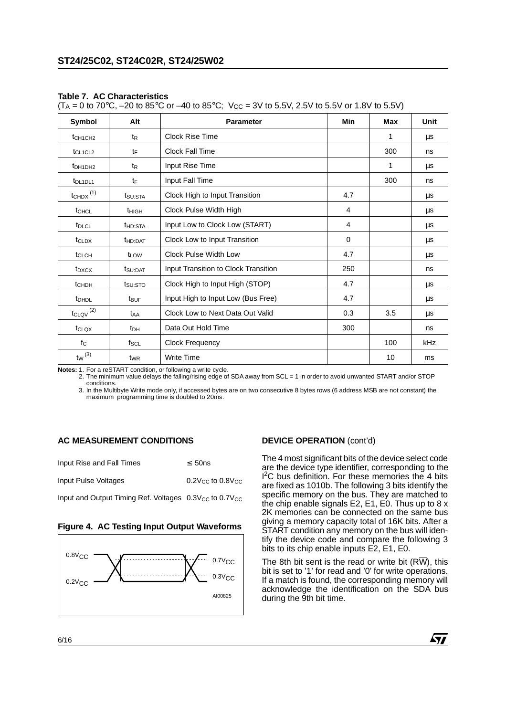#### **Table 7. AC Characteristics**

 $(T_A = 0 \text{ to } 70^{\circ}\text{C}, -20 \text{ to } 85^{\circ}\text{C} \text{ or } -40 \text{ to } 85^{\circ}\text{C}; \ \text{V}_{CC} = 3 \text{V} \text{ to } 5.5 \text{V}, 2.5 \text{V} \text{ to } 5.5 \text{V} \text{ or } 1.8 \text{V} \text{ to } 5.5 \text{V})$ 

| Symbol                              | Alt                 | <b>Parameter</b>                     | Min         | Max | Unit |
|-------------------------------------|---------------------|--------------------------------------|-------------|-----|------|
| t <sub>CH1CH2</sub>                 | t <sub>R</sub>      | Clock Rise Time                      |             | 1   | μs   |
| $t$ CL <sub>1</sub> CL <sub>2</sub> | tF                  | <b>Clock Fall Time</b>               |             | 300 | ns   |
| t <sub>DH1DH2</sub>                 | t <sub>R</sub>      | Input Rise Time                      |             | 1   | μs   |
| t <sub>DL1DL1</sub>                 | tF                  | Input Fall Time                      |             | 300 | ns   |
| $t$ CHDX $(1)$                      | t <sub>SU:STA</sub> | Clock High to Input Transition       | 4.7         |     | μs   |
| t <sub>CHCL</sub>                   | t <sub>HIGH</sub>   | Clock Pulse Width High               | 4           |     | μs   |
| t <sub>DLCL</sub>                   | t <sub>HD:STA</sub> | Input Low to Clock Low (START)       | 4           |     | μs   |
| t <sub>CLDX</sub>                   | t <sub>HD:DAT</sub> | Clock Low to Input Transition        | $\mathbf 0$ |     | μs   |
| t <sub>CLCH</sub>                   | t <sub>LOW</sub>    | Clock Pulse Width Low                | 4.7         |     | μs   |
| t <sub>DXCX</sub>                   | t <sub>SU:DAT</sub> | Input Transition to Clock Transition | 250         |     | ns   |
| tch <sub>DH</sub>                   | tsu:STO             | Clock High to Input High (STOP)      | 4.7         |     | μs   |
| <b>t</b> <sub>DHDL</sub>            | t <sub>BUF</sub>    | Input High to Input Low (Bus Free)   | 4.7         |     | μs   |
| $t_{CLQV}$ <sup>(2)</sup>           | t <sub>AA</sub>     | Clock Low to Next Data Out Valid     | 0.3         | 3.5 | μs   |
| tclox                               | t <sub>DH</sub>     | Data Out Hold Time                   | 300         |     | ns   |
| $f_{\rm C}$                         | fscl                | <b>Clock Frequency</b>               |             | 100 | kHz  |
| $t_W$ <sup>(3)</sup>                | t <sub>WR</sub>     | <b>Write Time</b>                    |             | 10  | ms   |

**Notes:** 1. For a reSTART condition, or following a write cycle.

2. The minimum value delays the falling/rising edge of SDA away from SCL = 1 in order to avoid unwanted START and/or STOP conditions.

3. In the Multibyte Write mode only, if accessed bytes are on two consecutive 8 bytes rows (6 address MSB are not constant) the maximum programming time is doubled to 20ms.

# **AC MEASUREMENT CONDITIONS**

| Input Rise and Fall Times | $\leq 50$ ns           |
|---------------------------|------------------------|
| Input Pulse Voltages      | $0.2$ Vcc to $0.8$ Vcc |

Input and Output Timing Ref. Voltages  $0.3V_{CC}$  to  $0.7V_{CC}$ 

#### **Figure 4. AC Testing Input Output Waveforms**



# **DEVICE OPERATION** (cont'd)

The 4 most significant bits of the device select code are the device type identifier, corresponding to the <sup>12</sup>C bus definition. For these memories the 4 bits are fixed as 1010b. The following 3 bits identify the specific memory on the bus. They are matched to the chip enable signals E2, E1, E0. Thus up to 8 x 2K memories can be connected on the same bus giving a memory capacity total of 16K bits. After a START condition any memory on the bus will identify the device code and compare the following 3 bits to its chip enable inputs E2, E1, E0.

The 8th bit sent is the read or write bit ( $R\overline{W}$ ), this bit is set to '1' for read and '0' for write operations. If a match is found, the corresponding memory will acknowledge the identification on the SDA bus during the 9th bit time.

57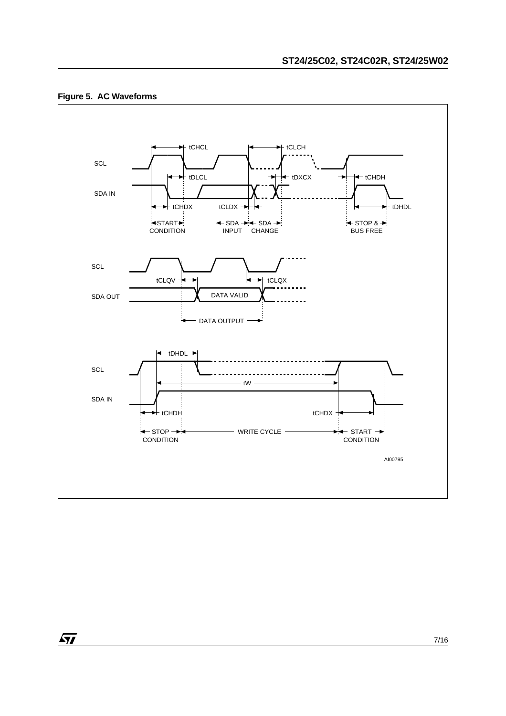

# **Figure 5. AC Waveforms**

 $\sqrt{1}$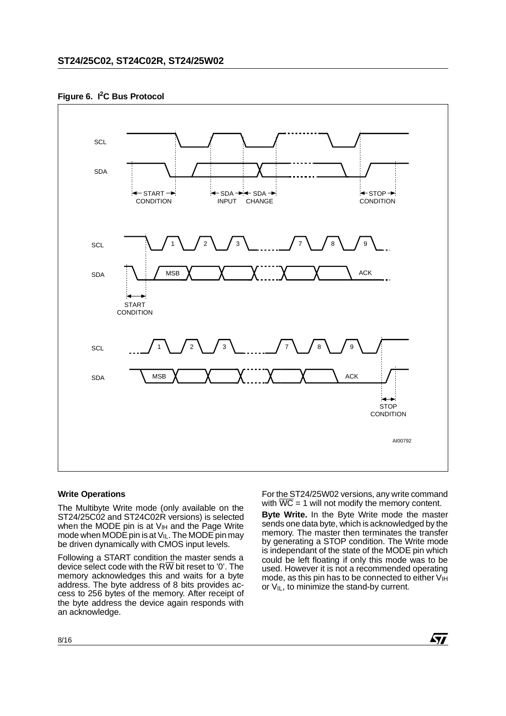# **Figure 6. I2C Bus Protocol**



# **Write Operations**

The Multibyte Write mode (only available on the ST24/25C02 and ST24C02R versions) is selected when the MODE pin is at  $V_{\text{IH}}$  and the Page Write mode when MODE pin is at  $V_{IL}$ . The MODE pin may be driven dynamically with CMOS input levels.

Following a START condition the master sends a device select code with the  $R\overline{W}$  bit reset to '0'. The memory acknowledges this and waits for a byte address. The byte address of 8 bits provides access to 256 bytes of the memory. After receipt of the byte address the device again responds with an acknowledge.

For the ST24/25W02 versions, any write command with  $\overline{WC} = 1$  will not modify the memory content.

**Byte Write.** In the Byte Write mode the master sends one data byte, which is acknowledged by the memory. The master then terminates the transfer by generating a STOP condition. The Write mode is independant of the state of the MODE pin which could be left floating if only this mode was to be used. However it is not a recommended operating mode, as this pin has to be connected to either  $V_{\text{IH}}$ or  $V_{IL}$ , to minimize the stand-by current.

 $\sqrt{M}$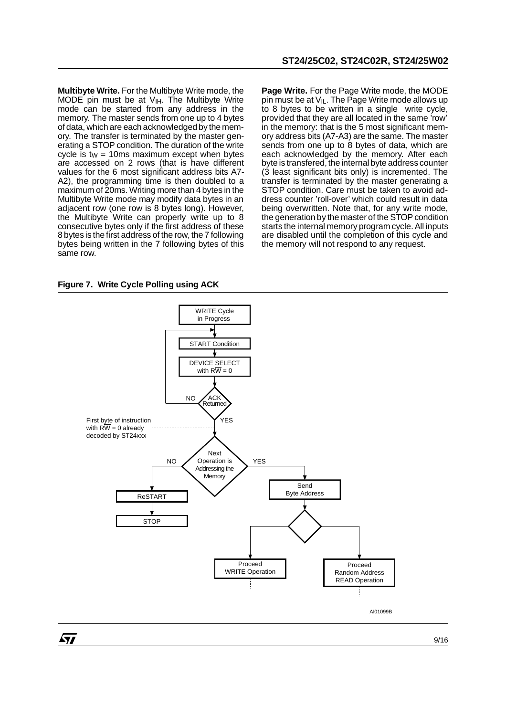**Multibyte Write.** For the Multibyte Write mode, the MODE pin must be at  $V_{\text{IH}}$ . The Multibyte Write mode can be started from any address in the memory. The master sends from one up to 4 bytes of data, which are each acknowledged by the memory. The transfer is terminated by the master generating a STOP condition. The duration of the write cycle is  $tw = 10$ ms maximum except when bytes are accessed on 2 rows (that is have different values for the 6 most significant address bits A7- A2), the programming time is then doubled to a maximum of 20ms. Writing more than 4 bytes in the Multibyte Write mode may modify data bytes in an adjacent row (one row is 8 bytes long). However, the Multibyte Write can properly write up to 8 consecutive bytes only if the first address of these 8 bytes is the first address of the row, the 7 following bytes being written in the 7 following bytes of this same row.

**Page Write.** For the Page Write mode, the MODE pin must be at  $V_{IL}$ . The Page Write mode allows up to 8 bytes to be written in a single write cycle, provided that they are all located in the same 'row' in the memory: that is the 5 most significant memory address bits (A7-A3) are the same. The master sends from one up to 8 bytes of data, which are each acknowledged by the memory. After each byte is transfered, the internal byte address counter (3 least significant bits only) is incremented. The transfer is terminated by the master generating a STOP condition. Care must be taken to avoid address counter 'roll-over' which could result in data being overwritten. Note that, for any write mode, the generation by the master of the STOP condition starts the internal memory program cycle. All inputs are disabled until the completion of this cycle and the memory will not respond to any request.

**Figure 7. Write Cycle Polling using ACK**



9/16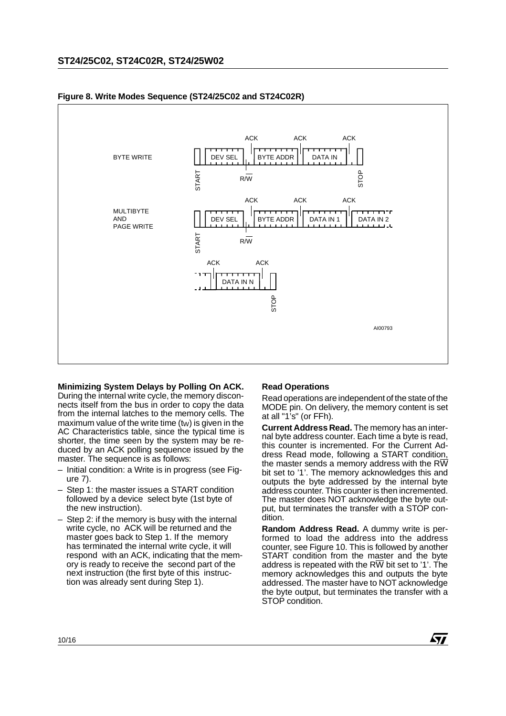

# **Figure 8. Write Modes Sequence (ST24/25C02 and ST24C02R)**

**Minimizing System Delays by Polling On ACK.** During the internal write cycle, the memory disconnects itself from the bus in order to copy the data from the internal latches to the memory cells. The maximum value of the write time  $(tw)$  is given in the AC Characteristics table, since the typical time is shorter, the time seen by the system may be reduced by an ACK polling sequence issued by the master. The sequence is as follows:

- Initial condition: a Write is in progress (see Figure 7).
- Step 1: the master issues a START condition followed by a device select byte (1st byte of the new instruction).
- Step 2: if the memory is busy with the internal write cycle, no ACK will be returned and the master goes back to Step 1. If the memory has terminated the internal write cycle, it will respond with an ACK, indicating that the memory is ready to receive the second part of the next instruction (the first byte of this instruction was already sent during Step 1).

# **Read Operations**

Read operations are independent of the state of the MODE pin. On delivery, the memory content is set at all "1's" (or FFh).

**Current Address Read.** The memory has an internal byte address counter. Each time a byte is read, this counter is incremented. For the Current Address Read mode, following a START condition, the master sends a memory address with the  $R\overline{W}$ bit set to '1'. The memory acknowledges this and outputs the byte addressed by the internal byte address counter. This counter is then incremented. The master does NOT acknowledge the byte output, but terminates the transfer with a STOP condition.

**Random Address Read.** A dummy write is performed to load the address into the address counter, see Figure 10. This is followed by another START condition from the master and the byte address is repeated with the RW bit set to '1'. The memory acknowledges this and outputs the byte addressed. The master have to NOT acknowledge the byte output, but terminates the transfer with a STOP condition.

勾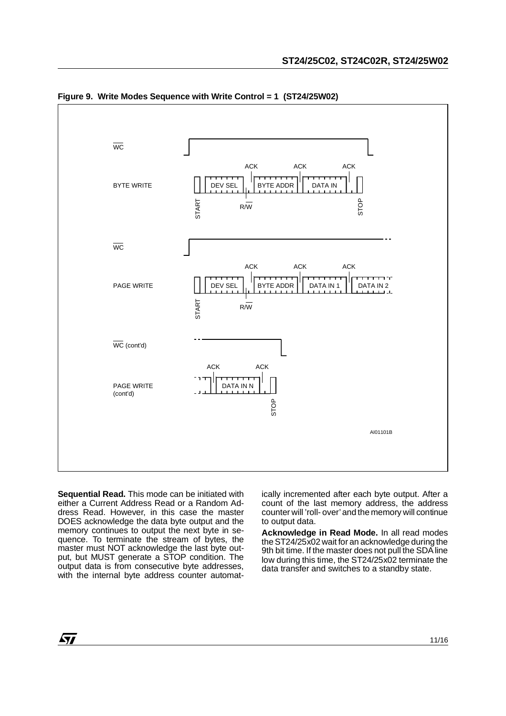

**Figure 9. Write Modes Sequence with Write Control = 1 (ST24/25W02)**

**Sequential Read.** This mode can be initiated with either a Current Address Read or a Random Address Read. However, in this case the master DOES acknowledge the data byte output and the memory continues to output the next byte in sequence. To terminate the stream of bytes, the master must NOT acknowledge the last byte output, but MUST generate a STOP condition. The output data is from consecutive byte addresses, with the internal byte address counter automatically incremented after each byte output. After a count of the last memory address, the address counter will 'roll- over' and the memory will continue to output data.

**Acknowledge in Read Mode.** In all read modes the ST24/25x02 wait for an acknowledge during the 9th bit time. If the master does not pull the SDA line low during this time, the ST24/25x02 terminate the data transfer and switches to a standby state.

 $\sqrt{1}$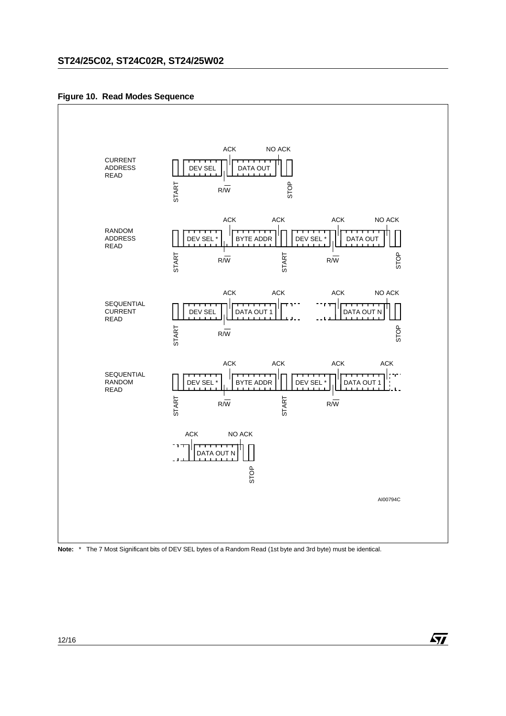**Figure 10. Read Modes Sequence** 



**Note:** \* The 7 Most Significant bits of DEV SEL bytes of a Random Read (1st byte and 3rd byte) must be identical.

 $\sqrt{M}$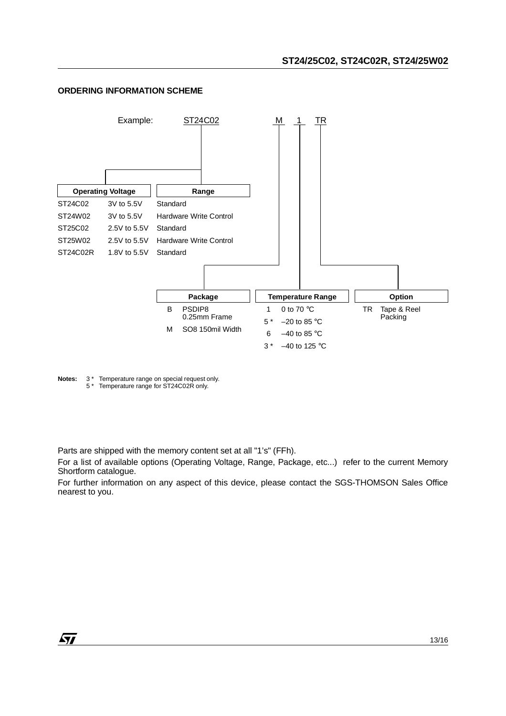# **ORDERING INFORMATION SCHEME**



**Notes:** 3 \* Temperature range on special request only. 5 \* Temperature range for ST24C02R only.

Parts are shipped with the memory content set at all "1's" (FFh).

For a list of available options (Operating Voltage, Range, Package, etc...) refer to the current Memory Shortform catalogue.

For further information on any aspect of this device, please contact the SGS-THOMSON Sales Office nearest to you.

 $\sqrt{1}$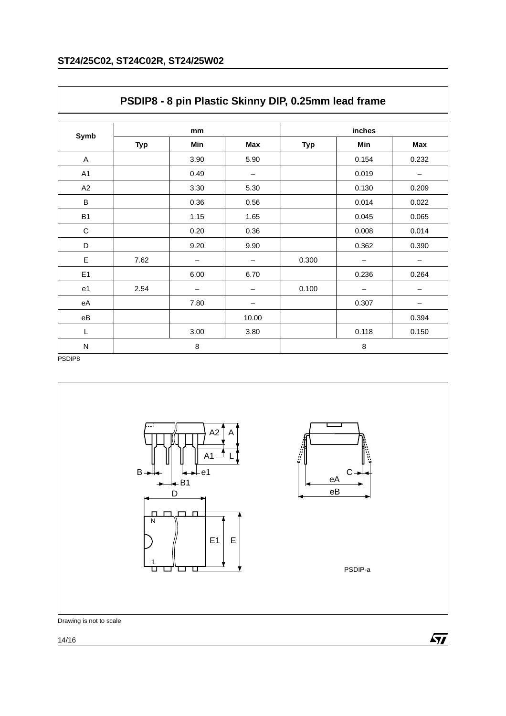| Symb                   |            | mm                       |       |            | inches                   |       |
|------------------------|------------|--------------------------|-------|------------|--------------------------|-------|
|                        | <b>Typ</b> | Min                      | Max   | <b>Typ</b> | Min                      | Max   |
| A                      |            | 3.90                     | 5.90  |            | 0.154                    | 0.232 |
| A1                     |            | 0.49                     | -     |            | 0.019                    | —     |
| A2                     |            | 3.30                     | 5.30  |            | 0.130                    | 0.209 |
| $\sf B$                |            | 0.36                     | 0.56  |            | 0.014                    | 0.022 |
| <b>B1</b>              |            | 1.15                     | 1.65  |            | 0.045                    | 0.065 |
| $\mathbf C$            |            | 0.20                     | 0.36  |            | 0.008                    | 0.014 |
| D                      |            | 9.20                     | 9.90  |            | 0.362                    | 0.390 |
| E                      | 7.62       | —                        | —     | 0.300      |                          |       |
| E1                     |            | 6.00                     | 6.70  |            | 0.236                    | 0.264 |
| e <sub>1</sub>         | 2.54       | $\overline{\phantom{m}}$ |       | 0.100      | $\overline{\phantom{m}}$ |       |
| eA                     |            | 7.80                     |       |            | 0.307                    |       |
| $\mathsf{e}\mathsf{B}$ |            |                          | 10.00 |            |                          | 0.394 |
| L                      |            | 3.00                     | 3.80  |            | 0.118                    | 0.150 |
| ${\sf N}$              |            | 8                        |       | $\,8\,$    |                          |       |

# **PSDIP8 - 8 pin Plastic Skinny DIP, 0.25mm lead frame**

PSDIP8



Drawing is not to scale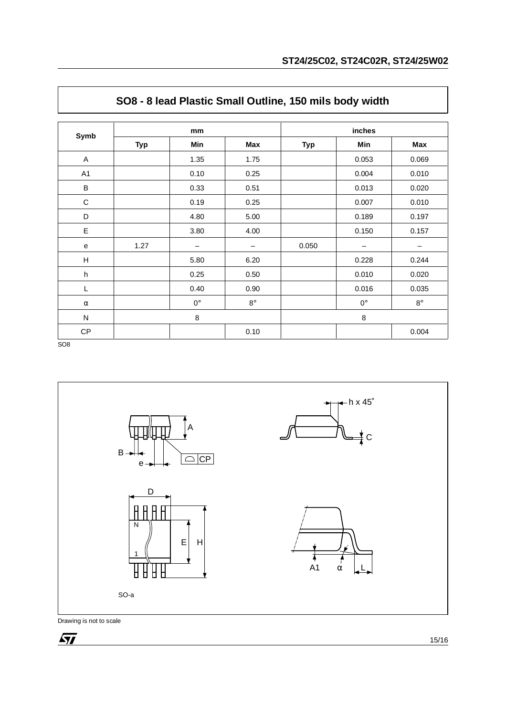| Symb                      |            | mm          |           | inches     |             |           |  |  |
|---------------------------|------------|-------------|-----------|------------|-------------|-----------|--|--|
|                           | <b>Typ</b> | Min         | Max       | <b>Typ</b> | Min         | Max       |  |  |
| A                         |            | 1.35        | 1.75      |            | 0.053       | 0.069     |  |  |
| A1                        |            | 0.10        | 0.25      |            | 0.004       | 0.010     |  |  |
| $\sf B$                   |            | 0.33        | 0.51      |            | 0.013       | 0.020     |  |  |
| $\mathbf C$               |            | 0.19        | 0.25      |            | 0.007       | 0.010     |  |  |
| D                         |            | 4.80        | 5.00      |            | 0.189       | 0.197     |  |  |
| E                         |            | 3.80        | 4.00      |            | 0.150       | 0.157     |  |  |
| e                         | 1.27       |             | —         | 0.050      |             |           |  |  |
| $\boldsymbol{\mathsf{H}}$ |            | 5.80        | 6.20      |            | 0.228       | 0.244     |  |  |
| $\sf h$                   |            | 0.25        | 0.50      |            | 0.010       | 0.020     |  |  |
| L                         |            | 0.40        | 0.90      |            | 0.016       | 0.035     |  |  |
| $\alpha$                  |            | $0^{\circ}$ | $8^\circ$ |            | $0^{\circ}$ | $8^\circ$ |  |  |
| ${\sf N}$                 |            | $\,8\,$     |           |            | $\,8\,$     |           |  |  |
| CP                        |            |             | 0.10      |            |             | 0.004     |  |  |

# **SO8 - 8 lead Plastic Small Outline, 150 mils body width**

SO8



Drawing is not to scale